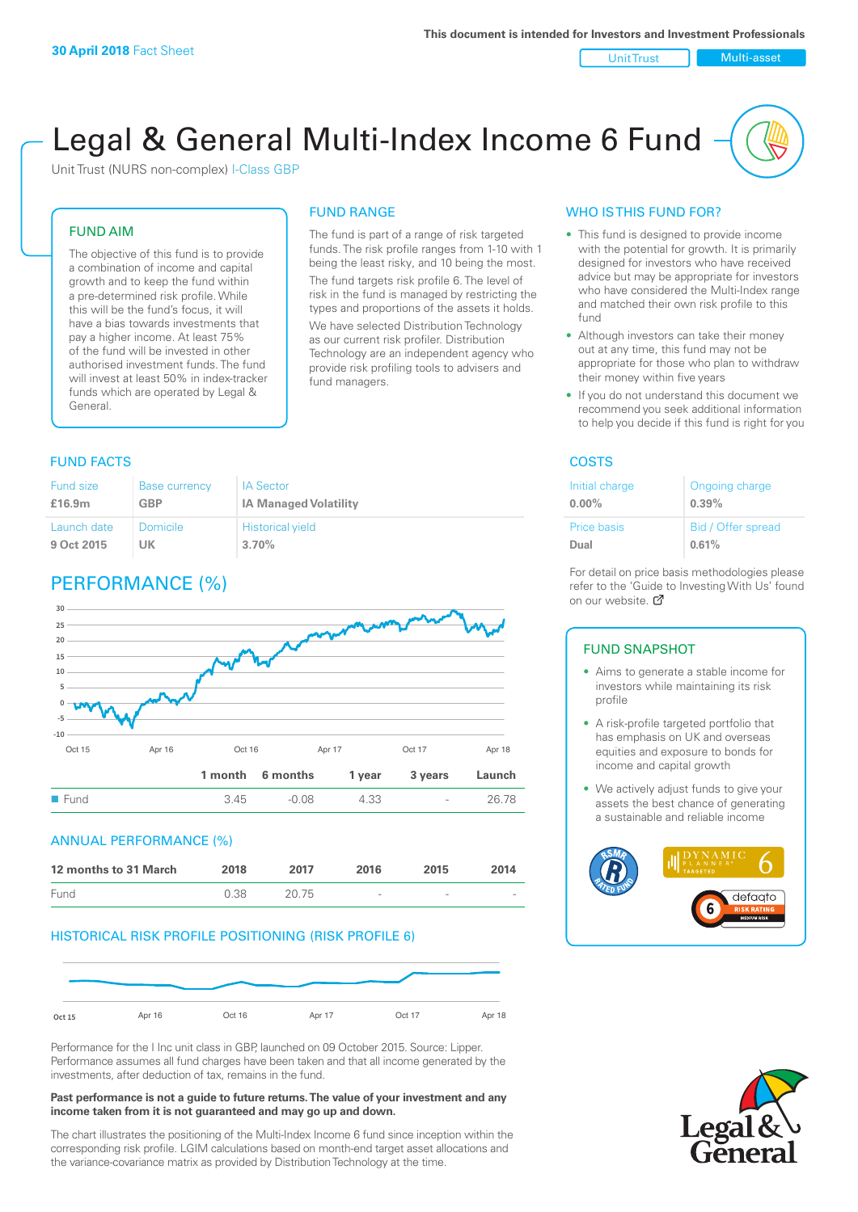Unit Trust Nulti-asset

# Legal & General Multi-Index Income 6 Fund

Unit Trust (NURS non-complex) I-Class GBP

#### FUND AIM

The objective of this fund is to provide a combination of income and capital growth and to keep the fund within a pre-determined risk profile. While this will be the fund's focus, it will have a bias towards investments that pay a higher income. At least 75% of the fund will be invested in other authorised investment funds. The fund will invest at least 50% in index-tracker funds which are operated by Legal & General.

#### FUND RANGE

The fund is part of a range of risk targeted funds. The risk profile ranges from 1-10 with 1 being the least risky, and 10 being the most. The fund targets risk profile 6. The level of risk in the fund is managed by restricting the

types and proportions of the assets it holds. We have selected Distribution Technology as our current risk profiler. Distribution Technology are an independent agency who provide risk profiling tools to advisers and fund managers.

#### **FUND FACTS** COSTS

| <b>Fund size</b> | <b>Base currency</b> | <b>IA Sector</b>             |
|------------------|----------------------|------------------------------|
| £16.9m           | GBP                  | <b>IA Managed Volatility</b> |
| Launch date      | Domicile             | <b>Historical yield</b>      |
| 9 Oct 2015       | UK                   | 3.70%                        |

### PERFORMANCE (%)



#### ANNUAL PERFORMANCE (%)

| 12 months to 31 March | 2018 | 2017  | 2016                     | 2015   | 2014   |
|-----------------------|------|-------|--------------------------|--------|--------|
| Fund                  | 0.38 | 20.75 | $\overline{\phantom{a}}$ | $\sim$ | $\sim$ |

#### HISTORICAL RISK PROFILE POSITIONING (RISK PROFILE 6)



Performance for the I Inc unit class in GBP, launched on 09 October 2015. Source: Lipper. Performance assumes all fund charges have been taken and that all income generated by the investments, after deduction of tax, remains in the fund.

#### **Past performance is not a guide to future returns. The value of your investment and any income taken from it is not guaranteed and may go up and down.**

The chart illustrates the positioning of the Multi-Index Income 6 fund since inception within the corresponding risk profile. LGIM calculations based on month-end target asset allocations and the variance-covariance matrix as provided by Distribution Technology at the time.

#### WHO IS THIS FUND FOR?

- This fund is designed to provide income with the potential for growth. It is primarily designed for investors who have received advice but may be appropriate for investors who have considered the Multi-Index range and matched their own risk profile to this fund
- Although investors can take their money out at any time, this fund may not be appropriate for those who plan to withdraw their money within five years
- If you do not understand this document we recommend you seek additional information to help you decide if this fund is right for you

| Initial charge     | Ongoing charge     |
|--------------------|--------------------|
| $0.00\%$           | 0.39%              |
| <b>Price basis</b> | Bid / Offer spread |
| Dual               | 0.61%              |

For detail on price basis methodologies please refer to the 'Gu[ide t](http://www.legalandgeneral.com/guide)o Investing With Us' found on our website. Ø

#### FUND SNAPSHOT

- Aims to generate a stable income for investors while maintaining its risk profile
- A risk-profile targeted portfolio that has emphasis on UK and overseas equities and exposure to bonds for income and capital growth
- We actively adjust funds to give your assets the best chance of generating a sustainable and reliable income



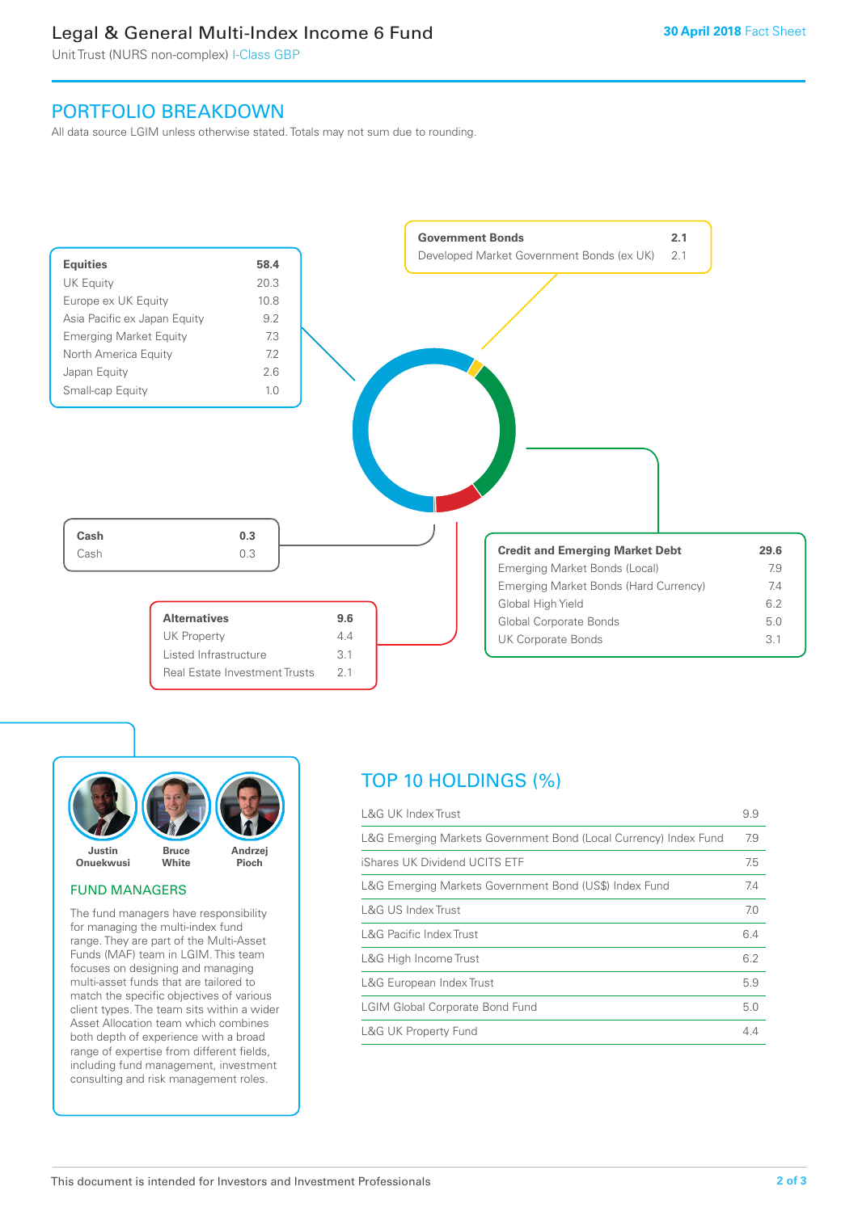### Legal & General Multi-Index Income 6 Fund

Unit Trust (NURS non-complex) I-Class GBP

### PORTFOLIO BREAKDOWN

All data source LGIM unless otherwise stated. Totals may not sum due to rounding.





#### FUND MANAGERS

The fund managers have responsibility for managing the multi-index fund range. They are part of the Multi-Asset Funds (MAF) team in LGIM. This team focuses on designing and managing multi-asset funds that are tailored to match the specific objectives of various client types. The team sits within a wider Asset Allocation team which combines both depth of experience with a broad range of expertise from different fields, including fund management, investment consulting and risk management roles.

## TOP 10 HOLDINGS (%)

| <b>L&amp;G UK Index Trust</b>                                    | 9.9 |
|------------------------------------------------------------------|-----|
| L&G Emerging Markets Government Bond (Local Currency) Index Fund | 7.9 |
| iShares UK Dividend UCITS ETF                                    | 7.5 |
| L&G Emerging Markets Government Bond (US\$) Index Fund           | 7.4 |
| L&G US Index Trust                                               | 7.0 |
| L&G Pacific Index Trust                                          | 6.4 |
| L&G High Income Trust                                            | 6.2 |
| L&G European Index Trust                                         | 5.9 |
| <b>LGIM Global Corporate Bond Fund</b>                           | 5.0 |
| <b>L&amp;G UK Property Fund</b>                                  | 4.4 |